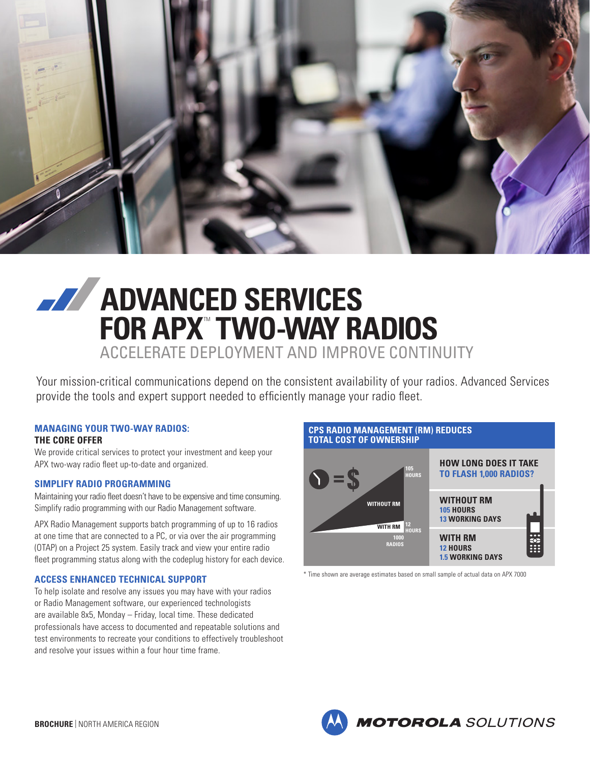

# **ADVANCED SERVICES FOR APX" TWO-WAY RADIOS** ACCELERATE DEPLOYMENT AND IMPROVE CONTINUITY

Your mission-critical communications depend on the consistent availability of your radios. Advanced Services provide the tools and expert support needed to efficiently manage your radio fleet.

#### **MANAGING YOUR TWO-WAY RADIOS: THE CORE OFFER**

We provide critical services to protect your investment and keep your APX two-way radio fleet up-to-date and organized.

# **SIMPLIFY RADIO PROGRAMMING**

Maintaining your radio fleet doesn't have to be expensive and time consuming. Simplify radio programming with our Radio Management software.

APX Radio Management supports batch programming of up to 16 radios at one time that are connected to a PC, or via over the air programming (OTAP) on a Project 25 system. Easily track and view your entire radio fleet programming status along with the codeplug history for each device.

# **ACCESS ENHANCED TECHNICAL SUPPORT**

To help isolate and resolve any issues you may have with your radios or Radio Management software, our experienced technologists are available 8x5, Monday – Friday, local time. These dedicated professionals have access to documented and repeatable solutions and test environments to recreate your conditions to effectively troubleshoot and resolve your issues within a four hour time frame.

#### **CPS RADIO MANAGEMENT (RM) REDUCES TOTAL COST OF OWNERSHIPHOW LONG DOES IT TAKE 105 TO FLASH 1,000 RADIOS?**  $\mathbf{S} = \mathbf{S}$ **HOURS WITHOUT RM WITHOUT RM 105 HOURS**

**13 WORKING DAYS WITH RM 12 HOURS 1.5 WORKING DAYS 12 WITH RM HOURS 1000 RADIOS**

\* Time shown are average estimates based on small sample of actual data on APX 7000